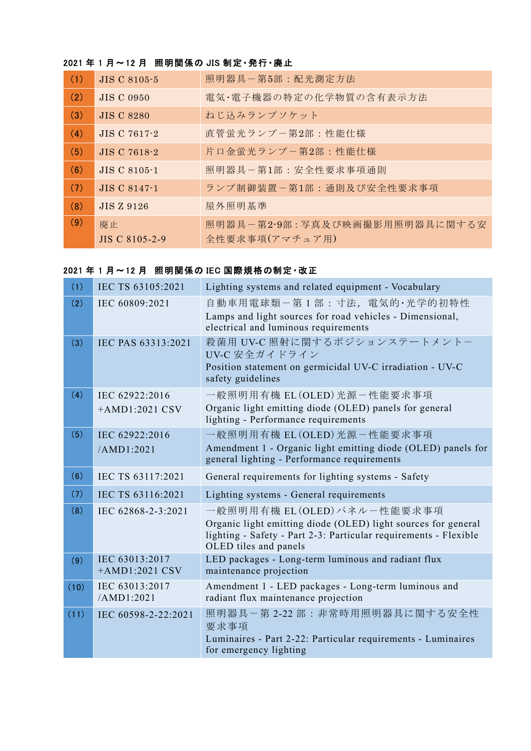# 2021 年 1 月~12 月 照明関係の JIS 制定・発行・廃止

| (1) | <b>JIS C 8105-5</b> | 照明器具-第5部:配光測定方法               |
|-----|---------------------|-------------------------------|
| (2) | <b>JIS C 0950</b>   | 電気・電子機器の特定の化学物質の含有表示方法        |
| (3) | <b>JIS C 8280</b>   | ねじ込みランプソケット                   |
| (4) | JIS C 7617-2        | 直管蛍光ランプー第2部:性能仕様              |
| (5) | JIS C 7618-2        | 片口金蛍光ランプー第2部:性能仕様             |
| (6) | <b>JIS C 8105-1</b> | 照明器具-第1部:安全性要求事項通則            |
| (7) | JIS C 8147-1        | ランプ制御装置-第1部:通則及び安全性要求事項       |
| (8) | <b>JIS Z 9126</b>   | 屋外照明基準                        |
| (9) | 廃止                  | 照明器具-第2-9部:写真及び映画撮影用照明器具に関する安 |
|     | JIS C 8105-2-9      | 全性要求事項(アマチュア用)                |

## 2021 年 1 月~12 月 照明関係の IEC 国際規格の制定・改正

| (1)  | IEC TS 63105:2021                  | Lighting systems and related equipment - Vocabulary                                                                                                                                        |
|------|------------------------------------|--------------------------------------------------------------------------------------------------------------------------------------------------------------------------------------------|
| (2)  | IEC 60809:2021                     | 自動車用電球類-第1部:寸法, 電気的·光学的初特性<br>Lamps and light sources for road vehicles - Dimensional,<br>electrical and luminous requirements                                                             |
| (3)  | IEC PAS 63313:2021                 | 殺菌用 UV-C 照射に関するポジションステートメントー<br>UV-C 安全ガイドライン<br>Position statement on germicidal UV-C irradiation - UV-C<br>safety guidelines                                                             |
| (4)  | IEC 62922:2016<br>$+AMD1:2021$ CSV | 一般照明用有機 EL(OLED)光源-性能要求事項<br>Organic light emitting diode (OLED) panels for general<br>lighting - Performance requirements                                                                 |
| (5)  | IEC 62922:2016<br>/AMD1:2021       | 一般照明用有機 EL(OLED)光源-性能要求事項<br>Amendment 1 - Organic light emitting diode (OLED) panels for<br>general lighting - Performance requirements                                                   |
| (6)  | IEC TS 63117:2021                  | General requirements for lighting systems - Safety                                                                                                                                         |
| (7)  | IEC TS 63116:2021                  | Lighting systems - General requirements                                                                                                                                                    |
| (8)  | IEC 62868-2-3:2021                 | 一般照明用有機 EL (OLED) パネルー性能要求事項<br>Organic light emitting diode (OLED) light sources for general<br>lighting - Safety - Part 2-3: Particular requirements - Flexible<br>OLED tiles and panels |
| (9)  | IEC 63013:2017<br>$+AMD1:2021$ CSV | LED packages - Long-term luminous and radiant flux<br>maintenance projection                                                                                                               |
| (10) | IEC 63013:2017<br>/AMD1:2021       | Amendment 1 - LED packages - Long-term luminous and<br>radiant flux maintenance projection                                                                                                 |
| (11) | IEC 60598-2-22:2021                | 照明器具-第2-22部: 非常時用照明器具に関する安全性<br>要求事項<br>Luminaires - Part 2-22: Particular requirements - Luminaires<br>for emergency lighting                                                             |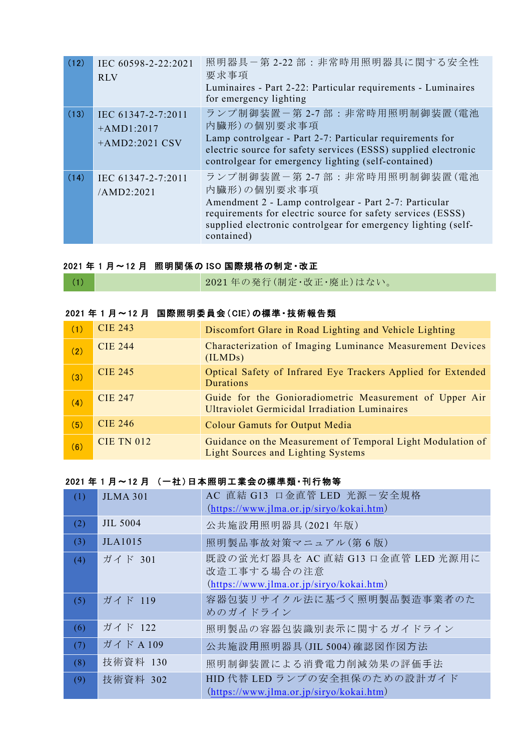| (12) | IEC 60598-2-22:2021<br><b>RLV</b>                      | 照明器具ー第 2-22部:非常時用照明器具に関する安全性<br>要求事項<br>Luminaires - Part 2-22: Particular requirements - Luminaires<br>for emergency lighting                                                                                                                    |
|------|--------------------------------------------------------|---------------------------------------------------------------------------------------------------------------------------------------------------------------------------------------------------------------------------------------------------|
| (13) | IEC 61347-2-7:2011<br>$+AMD1:2017$<br>$+AMD2:2021$ CSV | ランプ制御装置ー第2-7部:非常時用照明制御装置(電池<br>内臓形)の個別要求事項<br>Lamp controlgear - Part 2-7: Particular requirements for<br>electric source for safety services (ESSS) supplied electronic<br>controlgear for emergency lighting (self-contained)                   |
| (14) | IEC 61347-2-7:2011<br>/AMD2:2021                       | ランプ制御装置-第2-7部:非常時用照明制御装置(電池<br>内臓形)の個別要求事項<br>Amendment 2 - Lamp controlgear - Part 2-7: Particular<br>requirements for electric source for safety services (ESSS)<br>supplied electronic controlgear for emergency lighting (self-<br>contained) |

### 2021 年 1 月~12 月 照明関係の ISO 国際規格の制定・改正

## 2021 年 1 月~12 月 国際照明委員会(CIE)の標準・技術報告類

| (1) | <b>CIE 243</b>    | Discomfort Glare in Road Lighting and Vehicle Lighting                                                          |
|-----|-------------------|-----------------------------------------------------------------------------------------------------------------|
| (2) | <b>CIE 244</b>    | Characterization of Imaging Luminance Measurement Devices<br>(ILMDs)                                            |
| (3) | <b>CIE 245</b>    | Optical Safety of Infrared Eye Trackers Applied for Extended<br>Durations                                       |
| (4) | <b>CIE 247</b>    | Guide for the Gonioradiometric Measurement of Upper Air<br><b>Ultraviolet Germicidal Irradiation Luminaires</b> |
| (5) | <b>CIE 246</b>    | <b>Colour Gamuts for Output Media</b>                                                                           |
| (6) | <b>CIE TN 012</b> | Guidance on the Measurement of Temporal Light Modulation of<br><b>Light Sources and Lighting Systems</b>        |

#### 2021 年 1 月~12 月 (一社)日本照明工業会の標準類・刊行物等

| (1) | <b>JLMA 301</b> | AC 直結 G13 口金直管 LED 光源-安全規格<br>$(htips://www.jlma. or.jp/siryo/kokai.htm)$                       |
|-----|-----------------|-------------------------------------------------------------------------------------------------|
| (2) | <b>JIL 5004</b> | 公共施設用照明器具(2021年版)                                                                               |
| (3) | <b>JLA1015</b>  | 照明製品事故対策マニュアル(第6版)                                                                              |
| (4) | ガイド 301         | 既設の蛍光灯器具を AC 直結 G13 口金直管 LED 光源用に<br>改造工事する場合の注意<br>$(htips://www.jlma. or.jp/siryo/kokai.htm)$ |
| (5) | ガイド 119         | 容器包装リサイクル法に基づく照明製品製造事業者のた<br>めのガイドライン                                                           |
| (6) | ガイド 122         | 照明製品の容器包装識別表示に関するガイドライン                                                                         |
| (7) | ガイドA109         | 公共施設用照明器具(JIL 5004)確認図作図方法                                                                      |
| (8) | 技術資料 130        | 照明制御装置による消費電力削減効果の評価手法                                                                          |
| (9) | 技術資料 302        | HID 代替 LED ランプの安全担保のための設計ガイド<br>$(https://www.jlma. or.jp/siryo/kokai.htm)$                     |